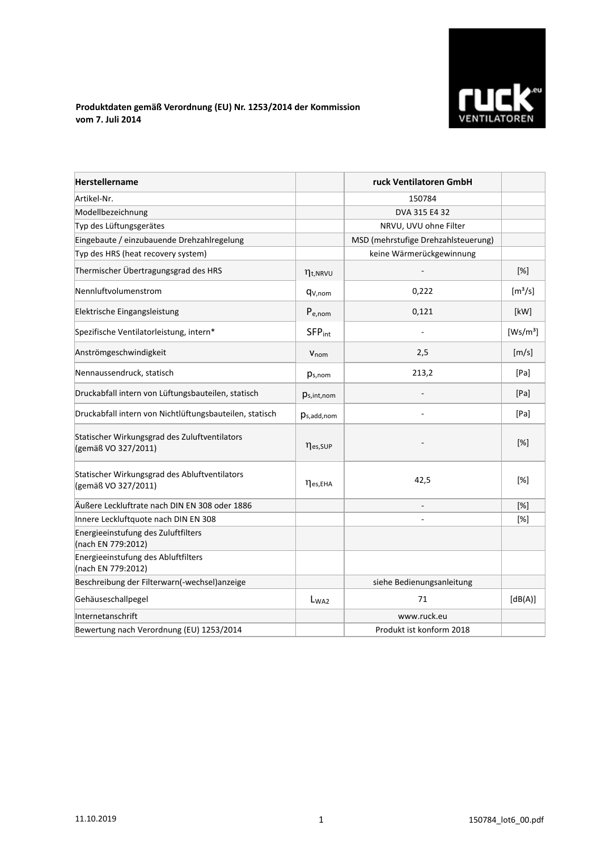

## **Produktdaten gemäß Verordnung (EU) Nr. 1253/2014 der Kommission vom 7. Juli 2014**

| <b>Herstellername</b>                                                |                           | ruck Ventilatoren GmbH              |                              |
|----------------------------------------------------------------------|---------------------------|-------------------------------------|------------------------------|
| Artikel-Nr.                                                          |                           | 150784                              |                              |
| Modellbezeichnung                                                    |                           | DVA 315 E4 32                       |                              |
| Typ des Lüftungsgerätes                                              |                           | NRVU, UVU ohne Filter               |                              |
| Eingebaute / einzubauende Drehzahlregelung                           |                           | MSD (mehrstufige Drehzahlsteuerung) |                              |
| Typ des HRS (heat recovery system)                                   |                           | keine Wärmerückgewinnung            |                              |
| Thermischer Übertragungsgrad des HRS                                 | $\eta_{t, NRVU}$          |                                     | $[\%]$                       |
| Nennluftvolumenstrom                                                 | q <sub>V,nom</sub>        | 0,222                               | $\left[\frac{m^3}{s}\right]$ |
| Elektrische Eingangsleistung                                         | $P_{e,nom}$               | 0,121                               | [kW]                         |
| Spezifische Ventilatorleistung, intern*                              | <b>SFP</b> <sub>int</sub> |                                     | [Ws/m <sup>3</sup> ]         |
| Anströmgeschwindigkeit                                               | Vnom                      | 2,5                                 | [m/s]                        |
| Nennaussendruck, statisch                                            | $p_{s,nom}$               | 213,2                               | [Pa]                         |
| Druckabfall intern von Lüftungsbauteilen, statisch                   | $p_{s,int,nom}$           |                                     | [Pa]                         |
| Druckabfall intern von Nichtlüftungsbauteilen, statisch              | $p_{s,add,nom}$           |                                     | [Pa]                         |
| Statischer Wirkungsgrad des Zuluftventilators<br>(gemäß VO 327/2011) | nes, SUP                  |                                     | [%]                          |
| Statischer Wirkungsgrad des Abluftventilators<br>(gemäß VO 327/2011) | $\eta_{es, EHA}$          | 42,5                                | [%]                          |
| Äußere Leckluftrate nach DIN EN 308 oder 1886                        |                           |                                     | [%]                          |
| Innere Leckluftquote nach DIN EN 308                                 |                           |                                     | [%]                          |
| Energieeinstufung des Zuluftfilters<br>(nach EN 779:2012)            |                           |                                     |                              |
| Energieeinstufung des Abluftfilters<br>(nach EN 779:2012)            |                           |                                     |                              |
| Beschreibung der Filterwarn(-wechsel) anzeige                        |                           | siehe Bedienungsanleitung           |                              |
| Gehäuseschallpegel                                                   | $L_{WA2}$                 | 71                                  | [dB(A)]                      |
| Internetanschrift                                                    |                           | www.ruck.eu                         |                              |
| Bewertung nach Verordnung (EU) 1253/2014                             |                           | Produkt ist konform 2018            |                              |